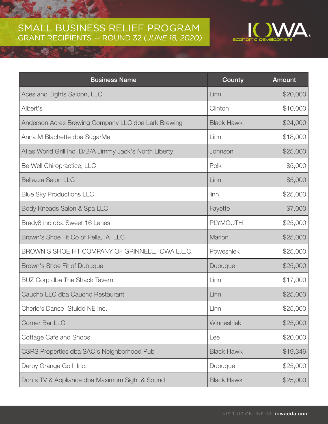## SMALL BUSINESS RELIEF PROGRAM GRANT RECIPIENTS — ROUND 32 (*JUNE 18, 2020)*



| <b>Business Name</b>                                    | County            | <b>Amount</b> |
|---------------------------------------------------------|-------------------|---------------|
| Aces and Eights Saloon, LLC                             | Linn              | \$20,000      |
| Albert's                                                | Clinton           | \$10,000      |
| Anderson Acres Brewing Company LLC dba Lark Brewing     | <b>Black Hawk</b> | \$24,000      |
| Anna M Blachette dba SugarMe                            | Linn              | \$18,000      |
| Atlas World Grill Inc. D/B/A Jimmy Jack's North Liberty | Johnson           | \$25,000      |
| Be Well Chiropractice, LLC                              | Polk              | \$5,000       |
| <b>Bellezza Salon LLC</b>                               | Linn              | \$5,000       |
| <b>Blue Sky Productions LLC</b>                         | linn              | \$25,000      |
| Body Kneads Salon & Spa LLC                             | Fayette           | \$7,000       |
| Brady8 inc dba Sweet 16 Lanes                           | <b>PLYMOUTH</b>   | \$25,000      |
| Brown's Shoe Fit Co of Pella, IA LLC                    | Marion            | \$25,000      |
| BROWN'S SHOE FIT COMPANY OF GRINNELL, IOWA L.L.C.       | Poweshiek         | \$25,000      |
| Brown's Shoe Fit of Dubuque                             | Dubuque           | \$25,000      |
| BUZ Corp dba The Shack Tavern                           | Linn              | \$17,000      |
| Caucho LLC dba Caucho Restaurant                        | Linn              | \$25,000      |
| Cherie's Dance Stuido NE Inc.                           | Linn              | \$25,000      |
| Corner Bar LLC                                          | Winneshiek        | \$25,000      |
| Cottage Cafe and Shops                                  | Lee               | \$20,000      |
| CSRS Properties dba SAC's Neighborhood Pub              | <b>Black Hawk</b> | \$19,346      |
| Derby Grange Golf, Inc.                                 | Dubuque           | \$25,000      |
| Don's TV & Appliance dba Maximum Sight & Sound          | <b>Black Hawk</b> | \$25,000      |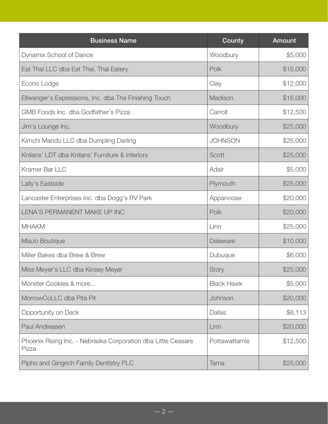| <b>Business Name</b>                                                   | County            | <b>Amount</b> |
|------------------------------------------------------------------------|-------------------|---------------|
| Dynamix School of Dance                                                | Woodbury          | \$5,000       |
| Eat Thai LLC dba Eat Thai, Thai Eatery                                 | Polk              | \$15,000      |
| Econo Lodge                                                            | Clay              | \$12,000      |
| Ellwanger's Expressions, Inc. dba The Finishing Touch                  | Madison           | \$15,000      |
| GMB Foods Inc. dba Godfather's Pizza                                   | Carroll           | \$12,500      |
| Jim's Lounge Inc.                                                      | Woodbury          | \$25,000      |
| Kimchi Mandu LLC dba Dumpling Darling                                  | <b>JOHNSON</b>    | \$25,000      |
| Knilans' LDT dba Knilans' Furniture & Interiors                        | Scott             | \$25,000      |
| Kramer Bar LLC                                                         | Adair             | \$5,000       |
| Lally's Eastside                                                       | Plymouth          | \$25,000      |
| Lancaster Enterprises Inc. dba Dogg's RV Park                          | Appanoose         | \$20,000      |
| LENA'S PERMANENT MAKE UP INC                                           | Polk              | \$20,000      |
| <b>MHAKM</b>                                                           | Linn              | \$25,000      |
| MiaJo Boutique                                                         | Delaware          | \$10,000      |
| Miller Bakes dba Brew & Brew                                           | Dubuque           | \$6,000       |
| Miss Meyer's LLC dba Kinsey Meyer                                      | Story             | \$25,000      |
| Monster Cookies & more                                                 | <b>Black Hawk</b> | \$5,000       |
| MorrowCoLLC dba Pita Pit                                               | Johnson           | \$20,000      |
| Opportunity on Deck                                                    | Dallas            | \$8,113       |
| Paul Andreasen                                                         | Linn              | \$20,000      |
| Phoenix Rising Inc. - Nebraska Corporation dba Little Ceasars<br>Pizza | Pottawattamie     | \$12,500      |
| Pipho and Gingrich Family Dentistry PLC                                | Tama              | \$25,000      |